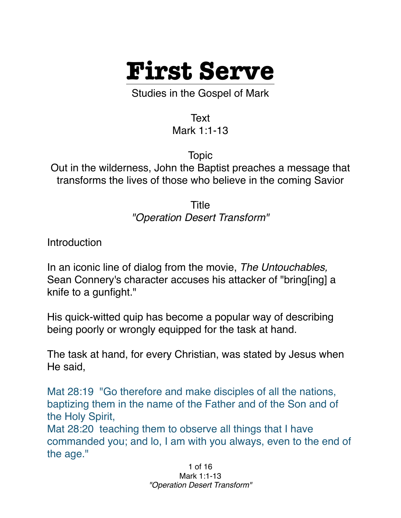

Studies in the Gospel of Mark

Text

Mark 1:1-13

Topic

Out in the wilderness, John the Baptist preaches a message that transforms the lives of those who believe in the coming Savior

> Title *"Operation Desert Transform"*

**Introduction** 

In an iconic line of dialog from the movie, *The Untouchables,* Sean Connery's character accuses his attacker of "bring[ing] a knife to a gunfight."

His quick-witted quip has become a popular way of describing being poorly or wrongly equipped for the task at hand.

The task at hand, for every Christian, was stated by Jesus when He said,

Mat 28:19 "Go therefore and make disciples of all the nations, baptizing them in the name of the Father and of the Son and of the Holy Spirit,

Mat 28:20 teaching them to observe all things that I have commanded you; and lo, I am with you always, even to the end of the age."

> 1 of 16 Mark 1:1-13 *"Operation Desert Transform"*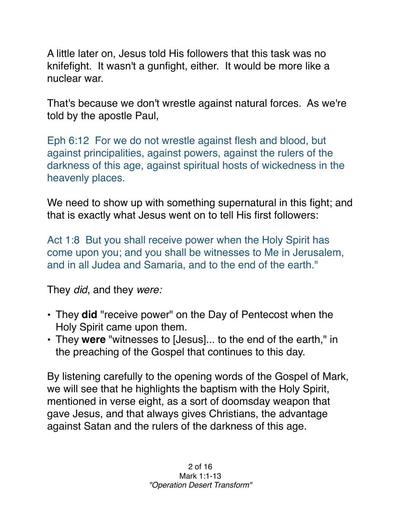A little later on, Jesus told His followers that this task was no knifefight. It wasn't a gunfight, either. It would be more like a nuclear war.

That's because we don't wrestle against natural forces. As we're told by the apostle Paul,

Eph 6:12 For we do not wrestle against flesh and blood, but against principalities, against powers, against the rulers of the darkness of this age, against spiritual hosts of wickedness in the heavenly places.

We need to show up with something supernatural in this fight; and that is exactly what Jesus went on to tell His first followers:

Act 1:8 But you shall receive power when the Holy Spirit has come upon you; and you shall be witnesses to Me in Jerusalem, and in all Judea and Samaria, and to the end of the earth."

They *did*, and they *were:*

- They **did** "receive power" on the Day of Pentecost when the Holy Spirit came upon them.
- They **were** "witnesses to [Jesus]... to the end of the earth," in the preaching of the Gospel that continues to this day.

By listening carefully to the opening words of the Gospel of Mark, we will see that he highlights the baptism with the Holy Spirit, mentioned in verse eight, as a sort of doomsday weapon that gave Jesus, and that always gives Christians, the advantage against Satan and the rulers of the darkness of this age.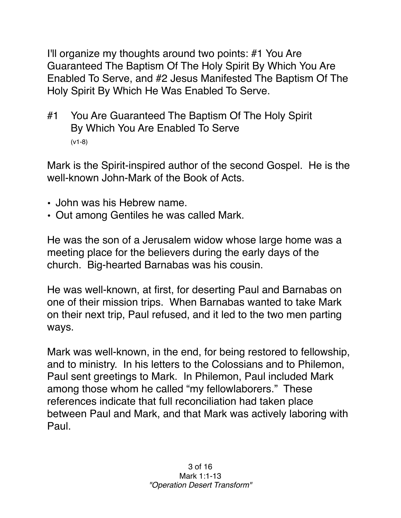I'll organize my thoughts around two points: #1 You Are Guaranteed The Baptism Of The Holy Spirit By Which You Are Enabled To Serve, and #2 Jesus Manifested The Baptism Of The Holy Spirit By Which He Was Enabled To Serve.

#1 You Are Guaranteed The Baptism Of The Holy Spirit By Which You Are Enabled To Serve (v1-8)

Mark is the Spirit-inspired author of the second Gospel. He is the well-known John-Mark of the Book of Acts.

- John was his Hebrew name.
- Out among Gentiles he was called Mark.

He was the son of a Jerusalem widow whose large home was a meeting place for the believers during the early days of the church. Big-hearted Barnabas was his cousin.

He was well-known, at first, for deserting Paul and Barnabas on one of their mission trips. When Barnabas wanted to take Mark on their next trip, Paul refused, and it led to the two men parting ways.

Mark was well-known, in the end, for being restored to fellowship, and to ministry. In his letters to the Colossians and to Philemon, Paul sent greetings to Mark. In Philemon, Paul included Mark among those whom he called "my fellowlaborers." These references indicate that full reconciliation had taken place between Paul and Mark, and that Mark was actively laboring with Paul.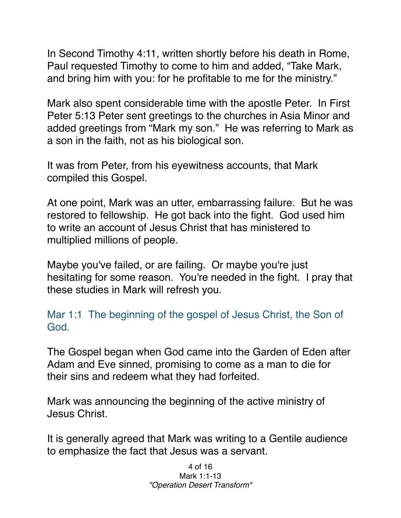In Second Timothy 4:11, written shortly before his death in Rome, Paul requested Timothy to come to him and added, "Take Mark, and bring him with you: for he profitable to me for the ministry."

Mark also spent considerable time with the apostle Peter. In First Peter 5:13 Peter sent greetings to the churches in Asia Minor and added greetings from "Mark my son." He was referring to Mark as a son in the faith, not as his biological son.

It was from Peter, from his eyewitness accounts, that Mark compiled this Gospel.

At one point, Mark was an utter, embarrassing failure. But he was restored to fellowship. He got back into the fight. God used him to write an account of Jesus Christ that has ministered to multiplied millions of people.

Maybe you've failed, or are failing. Or maybe you're just hesitating for some reason. You're needed in the fight. I pray that these studies in Mark will refresh you.

Mar 1:1 The beginning of the gospel of Jesus Christ, the Son of God.

The Gospel began when God came into the Garden of Eden after Adam and Eve sinned, promising to come as a man to die for their sins and redeem what they had forfeited.

Mark was announcing the beginning of the active ministry of Jesus Christ.

It is generally agreed that Mark was writing to a Gentile audience to emphasize the fact that Jesus was a servant.

> 4 of 16 Mark 1:1-13 *"Operation Desert Transform"*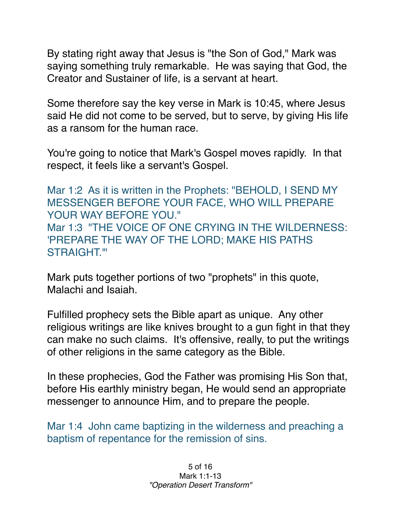By stating right away that Jesus is "the Son of God," Mark was saying something truly remarkable. He was saying that God, the Creator and Sustainer of life, is a servant at heart.

Some therefore say the key verse in Mark is 10:45, where Jesus said He did not come to be served, but to serve, by giving His life as a ransom for the human race.

You're going to notice that Mark's Gospel moves rapidly. In that respect, it feels like a servant's Gospel.

Mar 1:2 As it is written in the Prophets: "BEHOLD, I SEND MY MESSENGER BEFORE YOUR FACE, WHO WILL PREPARE YOUR WAY BEFORE YOU." Mar 1:3 "THE VOICE OF ONE CRYING IN THE WILDERNESS: 'PREPARE THE WAY OF THE LORD; MAKE HIS PATHS STRAIGHT.'"

Mark puts together portions of two "prophets" in this quote, Malachi and Isaiah.

Fulfilled prophecy sets the Bible apart as unique. Any other religious writings are like knives brought to a gun fight in that they can make no such claims. It's offensive, really, to put the writings of other religions in the same category as the Bible.

In these prophecies, God the Father was promising His Son that, before His earthly ministry began, He would send an appropriate messenger to announce Him, and to prepare the people.

Mar 1:4 John came baptizing in the wilderness and preaching a baptism of repentance for the remission of sins.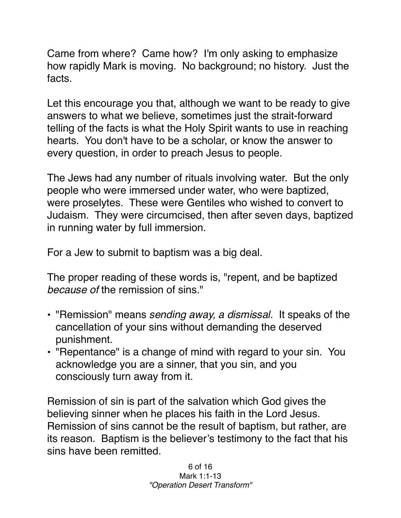Came from where? Came how? I'm only asking to emphasize how rapidly Mark is moving. No background; no history. Just the facts.

Let this encourage you that, although we want to be ready to give answers to what we believe, sometimes just the strait-forward telling of the facts is what the Holy Spirit wants to use in reaching hearts. You don't have to be a scholar, or know the answer to every question, in order to preach Jesus to people.

The Jews had any number of rituals involving water. But the only people who were immersed under water, who were baptized, were proselytes. These were Gentiles who wished to convert to Judaism. They were circumcised, then after seven days, baptized in running water by full immersion.

For a Jew to submit to baptism was a big deal.

The proper reading of these words is, "repent, and be baptized *because of* the remission of sins."

- "Remission" means *sending away, a dismissal*. It speaks of the cancellation of your sins without demanding the deserved punishment.
- "Repentance" is a change of mind with regard to your sin. You acknowledge you are a sinner, that you sin, and you consciously turn away from it.

Remission of sin is part of the salvation which God gives the believing sinner when he places his faith in the Lord Jesus. Remission of sins cannot be the result of baptism, but rather, are its reason. Baptism is the believer's testimony to the fact that his sins have been remitted.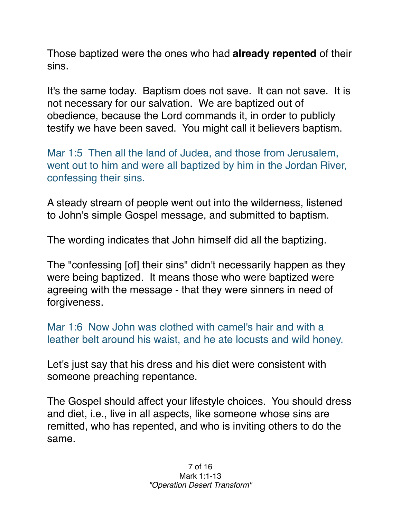Those baptized were the ones who had **already repented** of their sins.

It's the same today. Baptism does not save. It can not save. It is not necessary for our salvation. We are baptized out of obedience, because the Lord commands it, in order to publicly testify we have been saved. You might call it believers baptism.

Mar 1:5 Then all the land of Judea, and those from Jerusalem, went out to him and were all baptized by him in the Jordan River, confessing their sins.

A steady stream of people went out into the wilderness, listened to John's simple Gospel message, and submitted to baptism.

The wording indicates that John himself did all the baptizing.

The "confessing [of] their sins" didn't necessarily happen as they were being baptized. It means those who were baptized were agreeing with the message - that they were sinners in need of forgiveness.

Mar 1:6 Now John was clothed with camel's hair and with a leather belt around his waist, and he ate locusts and wild honey.

Let's just say that his dress and his diet were consistent with someone preaching repentance.

The Gospel should affect your lifestyle choices. You should dress and diet, i.e., live in all aspects, like someone whose sins are remitted, who has repented, and who is inviting others to do the same.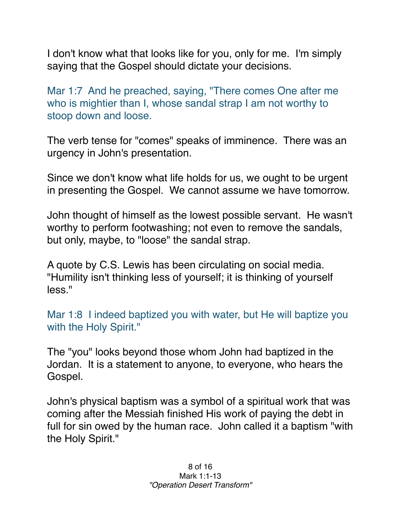I don't know what that looks like for you, only for me. I'm simply saying that the Gospel should dictate your decisions.

Mar 1:7 And he preached, saying, "There comes One after me who is mightier than I, whose sandal strap I am not worthy to stoop down and loose.

The verb tense for "comes" speaks of imminence. There was an urgency in John's presentation.

Since we don't know what life holds for us, we ought to be urgent in presenting the Gospel. We cannot assume we have tomorrow.

John thought of himself as the lowest possible servant. He wasn't worthy to perform footwashing; not even to remove the sandals, but only, maybe, to "loose" the sandal strap.

A quote by C.S. Lewis has been circulating on social media. "Humility isn't thinking less of yourself; it is thinking of yourself less."

Mar 1:8 I indeed baptized you with water, but He will baptize you with the Holy Spirit."

The "you" looks beyond those whom John had baptized in the Jordan. It is a statement to anyone, to everyone, who hears the Gospel.

John's physical baptism was a symbol of a spiritual work that was coming after the Messiah finished His work of paying the debt in full for sin owed by the human race. John called it a baptism "with the Holy Spirit."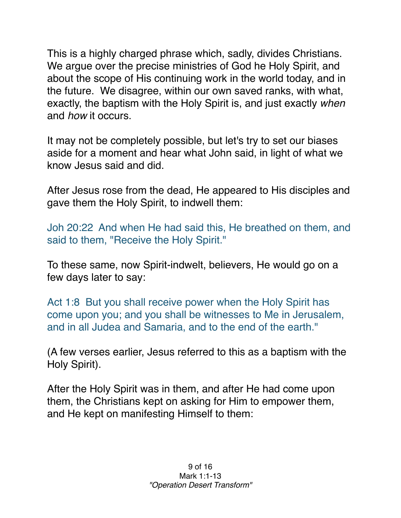This is a highly charged phrase which, sadly, divides Christians. We argue over the precise ministries of God he Holy Spirit, and about the scope of His continuing work in the world today, and in the future. We disagree, within our own saved ranks, with what, exactly, the baptism with the Holy Spirit is, and just exactly *when* and *how* it occurs.

It may not be completely possible, but let's try to set our biases aside for a moment and hear what John said, in light of what we know Jesus said and did.

After Jesus rose from the dead, He appeared to His disciples and gave them the Holy Spirit, to indwell them:

Joh 20:22 And when He had said this, He breathed on them, and said to them, "Receive the Holy Spirit."

To these same, now Spirit-indwelt, believers, He would go on a few days later to say:

Act 1:8 But you shall receive power when the Holy Spirit has come upon you; and you shall be witnesses to Me in Jerusalem, and in all Judea and Samaria, and to the end of the earth."

(A few verses earlier, Jesus referred to this as a baptism with the Holy Spirit).

After the Holy Spirit was in them, and after He had come upon them, the Christians kept on asking for Him to empower them, and He kept on manifesting Himself to them: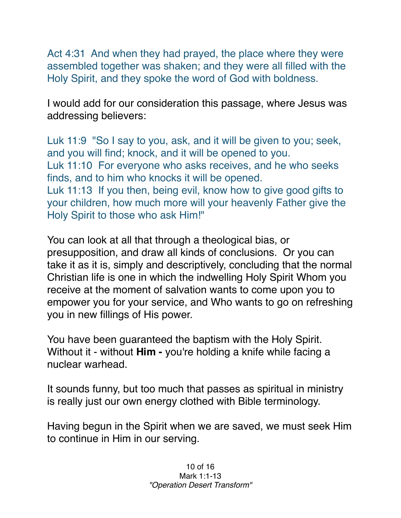Act 4:31 And when they had prayed, the place where they were assembled together was shaken; and they were all filled with the Holy Spirit, and they spoke the word of God with boldness.

I would add for our consideration this passage, where Jesus was addressing believers:

Luk 11:9 "So I say to you, ask, and it will be given to you; seek, and you will find; knock, and it will be opened to you. Luk 11:10 For everyone who asks receives, and he who seeks finds, and to him who knocks it will be opened. Luk 11:13 If you then, being evil, know how to give good gifts to your children, how much more will your heavenly Father give the Holy Spirit to those who ask Him!"

You can look at all that through a theological bias, or presupposition, and draw all kinds of conclusions. Or you can take it as it is, simply and descriptively, concluding that the normal Christian life is one in which the indwelling Holy Spirit Whom you receive at the moment of salvation wants to come upon you to empower you for your service, and Who wants to go on refreshing you in new fillings of His power.

You have been guaranteed the baptism with the Holy Spirit. Without it - without **Him -** you're holding a knife while facing a nuclear warhead.

It sounds funny, but too much that passes as spiritual in ministry is really just our own energy clothed with Bible terminology.

Having begun in the Spirit when we are saved, we must seek Him to continue in Him in our serving.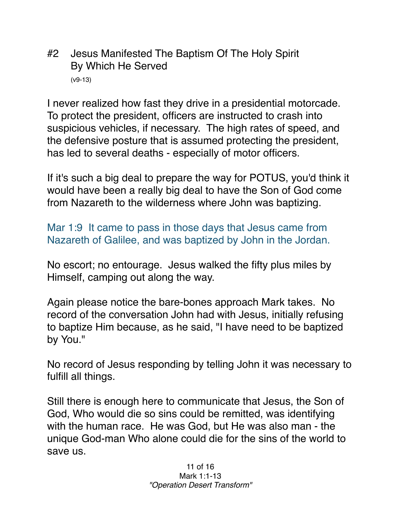#2 Jesus Manifested The Baptism Of The Holy Spirit By Which He Served (v9-13)

I never realized how fast they drive in a presidential motorcade. To protect the president, officers are instructed to crash into suspicious vehicles, if necessary. The high rates of speed, and the defensive posture that is assumed protecting the president, has led to several deaths - especially of motor officers.

If it's such a big deal to prepare the way for POTUS, you'd think it would have been a really big deal to have the Son of God come from Nazareth to the wilderness where John was baptizing.

Mar 1:9 It came to pass in those days that Jesus came from Nazareth of Galilee, and was baptized by John in the Jordan.

No escort; no entourage. Jesus walked the fifty plus miles by Himself, camping out along the way.

Again please notice the bare-bones approach Mark takes. No record of the conversation John had with Jesus, initially refusing to baptize Him because, as he said, "I have need to be baptized by You."

No record of Jesus responding by telling John it was necessary to fulfill all things.

Still there is enough here to communicate that Jesus, the Son of God, Who would die so sins could be remitted, was identifying with the human race. He was God, but He was also man - the unique God-man Who alone could die for the sins of the world to save us.

> 11 of 16 Mark 1:1-13 *"Operation Desert Transform"*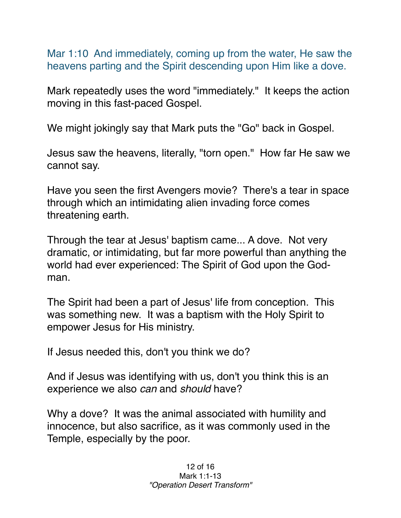Mar 1:10 And immediately, coming up from the water, He saw the heavens parting and the Spirit descending upon Him like a dove.

Mark repeatedly uses the word "immediately." It keeps the action moving in this fast-paced Gospel.

We might jokingly say that Mark puts the "Go" back in Gospel.

Jesus saw the heavens, literally, "torn open." How far He saw we cannot say.

Have you seen the first Avengers movie? There's a tear in space through which an intimidating alien invading force comes threatening earth.

Through the tear at Jesus' baptism came... A dove. Not very dramatic, or intimidating, but far more powerful than anything the world had ever experienced: The Spirit of God upon the Godman.

The Spirit had been a part of Jesus' life from conception. This was something new. It was a baptism with the Holy Spirit to empower Jesus for His ministry.

If Jesus needed this, don't you think we do?

And if Jesus was identifying with us, don't you think this is an experience we also *can* and *should* have?

Why a dove? It was the animal associated with humility and innocence, but also sacrifice, as it was commonly used in the Temple, especially by the poor.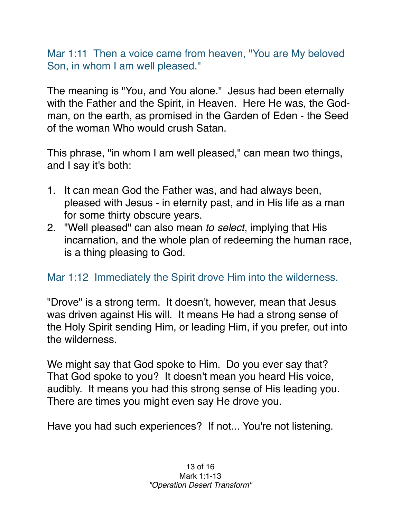Mar 1:11 Then a voice came from heaven, "You are My beloved Son, in whom I am well pleased."

The meaning is "You, and You alone." Jesus had been eternally with the Father and the Spirit, in Heaven. Here He was, the Godman, on the earth, as promised in the Garden of Eden - the Seed of the woman Who would crush Satan.

This phrase, "in whom I am well pleased," can mean two things, and I say it's both:

- 1. It can mean God the Father was, and had always been, pleased with Jesus - in eternity past, and in His life as a man for some thirty obscure years.
- 2. "Well pleased" can also mean *to select*, implying that His incarnation, and the whole plan of redeeming the human race, is a thing pleasing to God.

## Mar 1:12 Immediately the Spirit drove Him into the wilderness.

"Drove" is a strong term. It doesn't, however, mean that Jesus was driven against His will. It means He had a strong sense of the Holy Spirit sending Him, or leading Him, if you prefer, out into the wilderness.

We might say that God spoke to Him. Do you ever say that? That God spoke to you? It doesn't mean you heard His voice, audibly. It means you had this strong sense of His leading you. There are times you might even say He drove you.

Have you had such experiences? If not... You're not listening.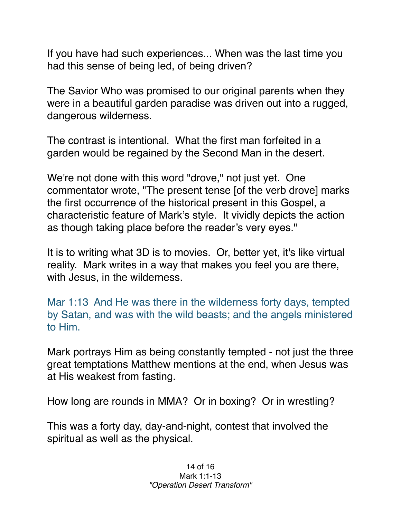If you have had such experiences... When was the last time you had this sense of being led, of being driven?

The Savior Who was promised to our original parents when they were in a beautiful garden paradise was driven out into a rugged, dangerous wilderness.

The contrast is intentional. What the first man forfeited in a garden would be regained by the Second Man in the desert.

We're not done with this word "drove," not just yet. One commentator wrote, "The present tense [of the verb drove] marks the first occurrence of the historical present in this Gospel, a characteristic feature of Mark's style. It vividly depicts the action as though taking place before the reader's very eyes."

It is to writing what 3D is to movies. Or, better yet, it's like virtual reality. Mark writes in a way that makes you feel you are there, with Jesus, in the wilderness.

Mar 1:13 And He was there in the wilderness forty days, tempted by Satan, and was with the wild beasts; and the angels ministered to Him.

Mark portrays Him as being constantly tempted - not just the three great temptations Matthew mentions at the end, when Jesus was at His weakest from fasting.

How long are rounds in MMA? Or in boxing? Or in wrestling?

This was a forty day, day-and-night, contest that involved the spiritual as well as the physical.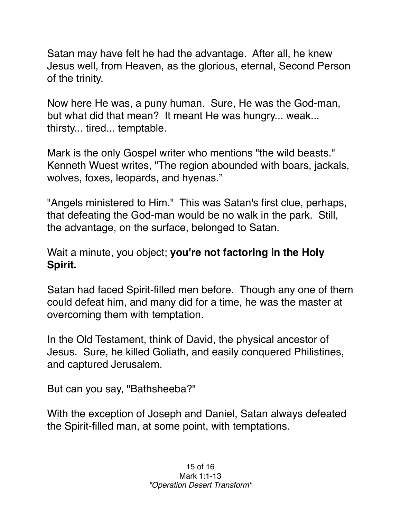Satan may have felt he had the advantage. After all, he knew Jesus well, from Heaven, as the glorious, eternal, Second Person of the trinity.

Now here He was, a puny human. Sure, He was the God-man, but what did that mean? It meant He was hungry... weak... thirsty... tired... temptable.

Mark is the only Gospel writer who mentions "the wild beasts." Kenneth Wuest writes, "The region abounded with boars, jackals, wolves, foxes, leopards, and hyenas."

"Angels ministered to Him." This was Satan's first clue, perhaps, that defeating the God-man would be no walk in the park. Still, the advantage, on the surface, belonged to Satan.

Wait a minute, you object; **you're not factoring in the Holy Spirit.**

Satan had faced Spirit-filled men before. Though any one of them could defeat him, and many did for a time, he was the master at overcoming them with temptation.

In the Old Testament, think of David, the physical ancestor of Jesus. Sure, he killed Goliath, and easily conquered Philistines, and captured Jerusalem.

But can you say, "Bathsheeba?"

With the exception of Joseph and Daniel, Satan always defeated the Spirit-filled man, at some point, with temptations.